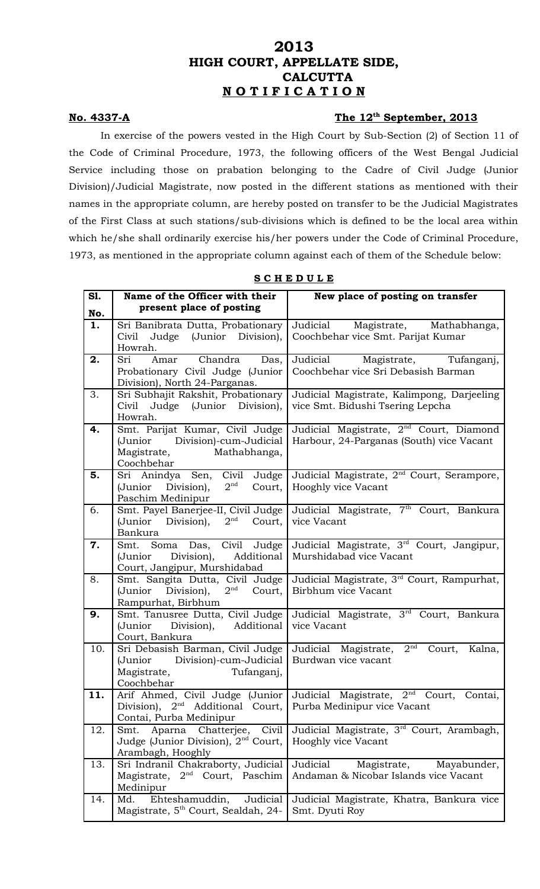## **2013 HIGH COURT, APPELLATE SIDE, CALCUTTA N O T I F I C A T I O N**

## **No. 4337-A The 12th**

## The 12<sup>th</sup> September, 2013

In exercise of the powers vested in the High Court by Sub-Section (2) of Section 11 of the Code of Criminal Procedure, 1973, the following officers of the West Bengal Judicial Service including those on prabation belonging to the Cadre of Civil Judge (Junior Division)/Judicial Magistrate, now posted in the different stations as mentioned with their names in the appropriate column, are hereby posted on transfer to be the Judicial Magistrates of the First Class at such stations/sub-divisions which is defined to be the local area within which he/she shall ordinarily exercise his/her powers under the Code of Criminal Procedure, 1973, as mentioned in the appropriate column against each of them of the Schedule below:

| <b>S1.</b><br>No. | Name of the Officer with their<br>present place of posting                                                    | New place of posting on transfer                                                                |
|-------------------|---------------------------------------------------------------------------------------------------------------|-------------------------------------------------------------------------------------------------|
| 1.                | Sri Banibrata Dutta, Probationary<br>Judge (Junior Division),<br>Civil<br>Howrah.                             | Judicial Magistrate, Mathabhanga,<br>Coochbehar vice Smt. Parijat Kumar                         |
| 2.                | Chandra<br>Sri<br>Das,<br>Amar<br>Probationary Civil Judge (Junior<br>Division), North 24-Parganas.           | Judicial Magistrate, Tufanganj,<br>Coochbehar vice Sri Debasish Barman                          |
| 3.                | Sri Subhajit Rakshit, Probationary<br>Judge (Junior Division),<br>Civil<br>Howrah.                            | Judicial Magistrate, Kalimpong, Darjeeling<br>vice Smt. Bidushi Tsering Lepcha                  |
| 4.                | Smt. Parijat Kumar, Civil Judge<br>(Junior Division)-cum-Judicial<br>Magistrate, Mathabhanga,<br>Coochbehar   | Judicial Magistrate, 2 <sup>nd</sup> Court, Diamond<br>Harbour, 24-Parganas (South) vice Vacant |
| 5.                | Sri Anindya Sen, Civil Judge<br>$2^{\rm nd}$<br>(Junior Division),<br>Court,<br>Paschim Medinipur             | Judicial Magistrate, 2 <sup>nd</sup> Court, Serampore,<br>Hooghly vice Vacant                   |
| 6.                | Smt. Payel Banerjee-II, Civil Judge<br>$2^{\rm nd}$<br>(Junior Division),<br>Court,<br>Bankura                | Judicial Magistrate, 7 <sup>th</sup> Court, Bankura<br>vice Vacant                              |
| 7.                | Smt. Soma Das, Civil Judge<br>Division),<br>Additional<br>(Junior<br>Court, Jangipur, Murshidabad             | Judicial Magistrate, 3 <sup>rd</sup> Court, Jangipur,<br>Murshidabad vice Vacant                |
| 8.                | Smt. Sangita Dutta, Civil Judge<br>$2^{\rm nd}$<br>(Junior<br>Division),<br>Court,<br>Rampurhat, Birbhum      | Judicial Magistrate, 3 <sup>rd</sup> Court, Rampurhat,<br>Birbhum vice Vacant                   |
| 9.                | Smt. Tanusree Dutta, Civil Judge<br>(Junior Division), Additional<br>Court, Bankura                           | Judicial Magistrate, 3 <sup>rd</sup> Court, Bankura<br>vice Vacant                              |
| 10.               | Sri Debasish Barman, Civil Judge<br>(Junior Division)-cum-Judicial<br>Magistrate,<br>Tufanganj,<br>Coochbehar | 2 <sup>nd</sup><br>Judicial Magistrate,<br>Kalna,<br>Court,<br>Burdwan vice vacant              |
| 11.               | Arif Ahmed, Civil Judge (Junior<br>Division), $2nd$<br>Additional Court,<br>Contai, Purba Medinipur           | Judicial Magistrate, 2 <sup>nd</sup> Court,<br>Contai,<br>Purba Medinipur vice Vacant           |
| 12.               | Aparna Chatterjee, Civil<br>Smt.<br>Judge (Junior Division), $2nd$ Court,<br>Arambagh, Hooghly                | Judicial Magistrate, 3 <sup>rd</sup> Court, Arambagh,<br>Hooghly vice Vacant                    |
| 13.               | Sri Indranil Chakraborty, Judicial<br>Magistrate, $2nd$ Court, Paschim<br>Medinipur                           | Judicial<br>Magistrate,<br>Mayabunder,<br>Andaman & Nicobar Islands vice Vacant                 |
| 14.               | Ehteshamuddin,<br>Judicial<br>Md.<br>Magistrate, 5 <sup>th</sup> Court, Sealdah, 24-                          | Judicial Magistrate, Khatra, Bankura vice<br>Smt. Dyuti Roy                                     |

|  |  |  | SCHEDULE |  |  |  |  |  |
|--|--|--|----------|--|--|--|--|--|
|--|--|--|----------|--|--|--|--|--|